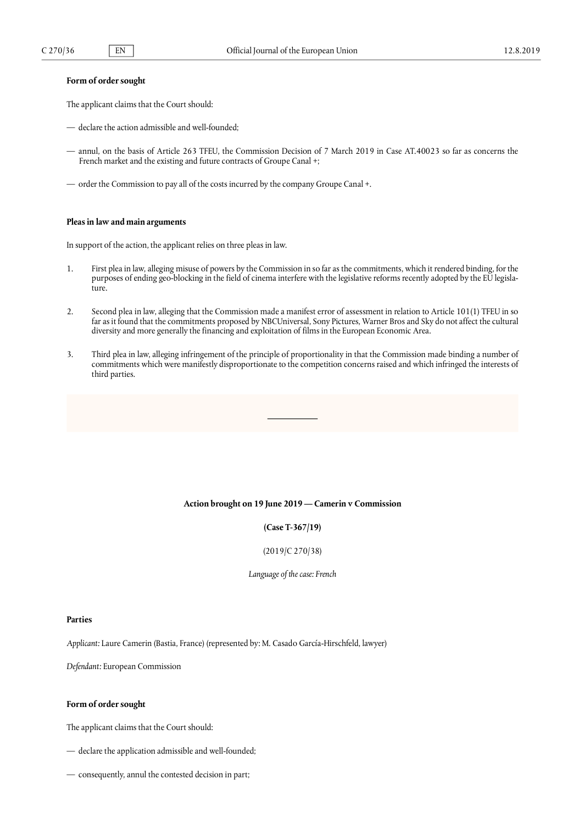# **Form of order sought**

The applicant claims that the Court should:

- declare the action admissible and well-founded;
- annul, on the basis of Article 263 TFEU, the Commission Decision of 7 March 2019 in Case AT.40023 so far as concerns the French market and the existing and future contracts of Groupe Canal +;
- order the Commission to pay all of the costs incurred by the company Groupe Canal +.

#### **Pleas in law and main arguments**

In support of the action, the applicant relies on three pleas in law.

- 1. First plea in law, alleging misuse of powers by the Commission in so far as the commitments, which it rendered binding, for the purposes of ending geo-blocking in the field of cinema interfere with the legislative reforms recently adopted by the EU legislature.
- 2. Second plea in law, alleging that the Commission made a manifest error of assessment in relation to Article 101(1) TFEU in so far as it found that the commitments proposed by NBCUniversal, Sony Pictures, Warner Bros and Sky do not affect the cultural diversity and more generally the financing and exploitation of films in the European Economic Area.
- 3. Third plea in law, alleging infringement of the principle of proportionality in that the Commission made binding a number of commitments which were manifestly disproportionate to the competition concerns raised and which infringed the interests of third parties.

### Action brought on 19 June 2019 — Camerin v Commission

# **(Case T-367/19)**

## (2019/C 270/38)

*Language of the case: French*

#### **Parties**

*Applicant:* Laure Camerin (Bastia, France) (represented by: M. Casado García-Hirschfeld, lawyer)

*Defendant:* European Commission

### **Form of order sought**

The applicant claims that the Court should:

- declare the application admissible and well-founded;
- consequently, annul the contested decision in part;